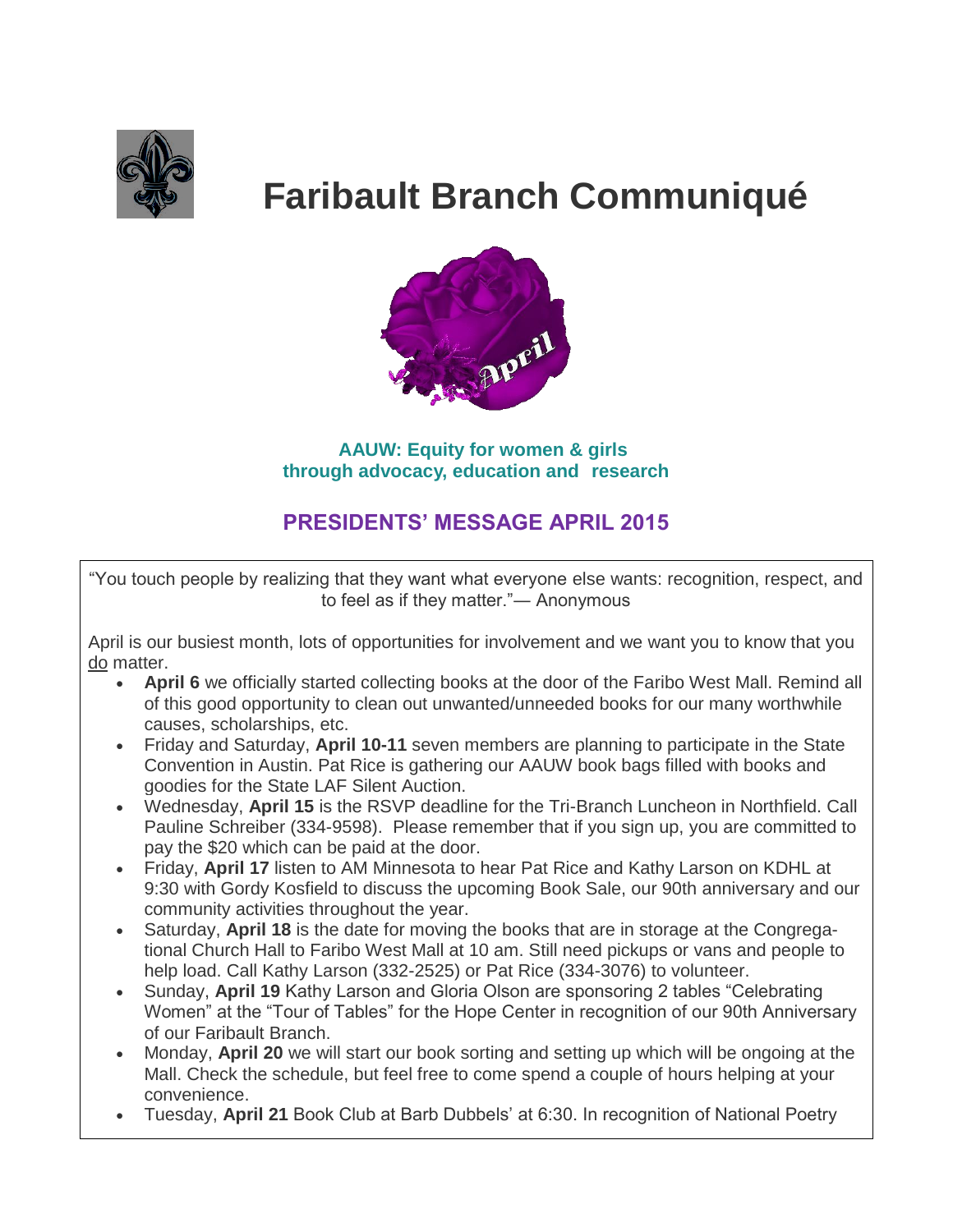

# **Faribault Branch Communiqué**



 **AAUW: Equity for women & girls through advocacy, education and research** 

# **PRESIDENTS' MESSAGE APRIL 2015**

"You touch people by realizing that they want what everyone else wants: recognition, respect, and to feel as if they matter."― Anonymous

April is our busiest month, lots of opportunities for involvement and we want you to know that you do matter.

- **April 6** we officially started collecting books at the door of the Faribo West Mall. Remind all of this good opportunity to clean out unwanted/unneeded books for our many worthwhile causes, scholarships, etc.
- Friday and Saturday, **April 10-11** seven members are planning to participate in the State Convention in Austin. Pat Rice is gathering our AAUW book bags filled with books and goodies for the State LAF Silent Auction.
- Wednesday, **April 15** is the RSVP deadline for the Tri-Branch Luncheon in Northfield. Call Pauline Schreiber (334-9598). Please remember that if you sign up, you are committed to pay the \$20 which can be paid at the door.
- Friday, **April 17** listen to AM Minnesota to hear Pat Rice and Kathy Larson on KDHL at 9:30 with Gordy Kosfield to discuss the upcoming Book Sale, our 90th anniversary and our community activities throughout the year.
- Saturday, **April 18** is the date for moving the books that are in storage at the Congregational Church Hall to Faribo West Mall at 10 am. Still need pickups or vans and people to help load. Call Kathy Larson (332-2525) or Pat Rice (334-3076) to volunteer.
- Sunday, April 19 Kathy Larson and Gloria Olson are sponsoring 2 tables "Celebrating Women" at the "Tour of Tables" for the Hope Center in recognition of our 90th Anniversary of our Faribault Branch.
- Monday, **April 20** we will start our book sorting and setting up which will be ongoing at the Mall. Check the schedule, but feel free to come spend a couple of hours helping at your convenience.
- Tuesday, **April 21** Book Club at Barb Dubbels' at 6:30. In recognition of National Poetry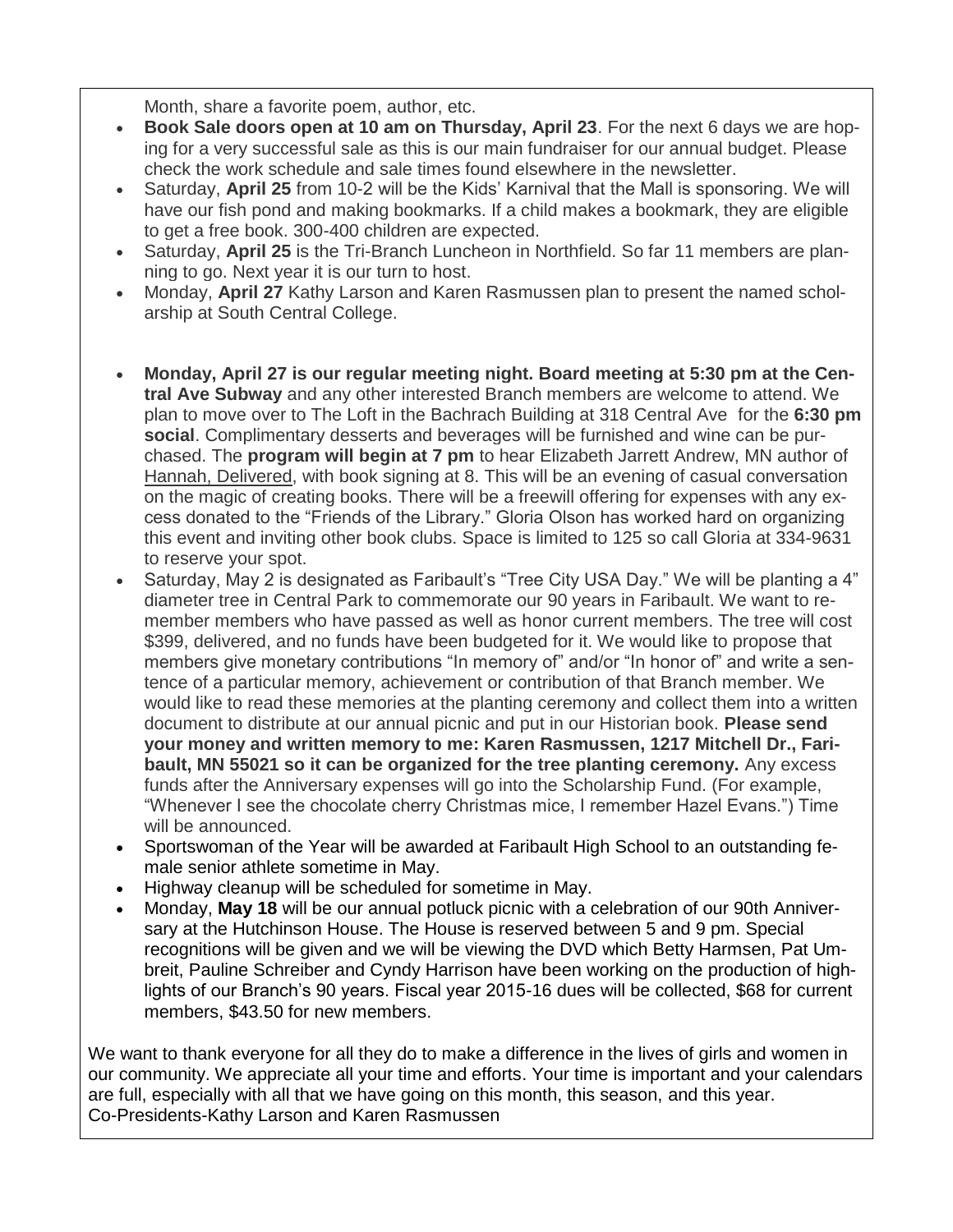Month, share a favorite poem, author, etc.

- **Book Sale doors open at 10 am on Thursday, April 23**. For the next 6 days we are hoping for a very successful sale as this is our main fundraiser for our annual budget. Please check the work schedule and sale times found elsewhere in the newsletter.
- Saturday, **April 25** from 10-2 will be the Kids' Karnival that the Mall is sponsoring. We will have our fish pond and making bookmarks. If a child makes a bookmark, they are eligible to get a free book. 300-400 children are expected.
- Saturday, **April 25** is the Tri-Branch Luncheon in Northfield. So far 11 members are planning to go. Next year it is our turn to host.
- Monday, **April 27** Kathy Larson and Karen Rasmussen plan to present the named scholarship at South Central College.
- **Monday, April 27 is our regular meeting night. Board meeting at 5:30 pm at the Central Ave Subway** and any other interested Branch members are welcome to attend. We plan to move over to The Loft in the Bachrach Building at 318 Central Ave for the **6:30 pm social**. Complimentary desserts and beverages will be furnished and wine can be purchased. The **program will begin at 7 pm** to hear Elizabeth Jarrett Andrew, MN author of Hannah, Delivered, with book signing at 8. This will be an evening of casual conversation on the magic of creating books. There will be a freewill offering for expenses with any excess donated to the "Friends of the Library." Gloria Olson has worked hard on organizing this event and inviting other book clubs. Space is limited to 125 so call Gloria at 334-9631 to reserve your spot.
- Saturday, May 2 is designated as Faribault's "Tree City USA Day." We will be planting a 4" diameter tree in Central Park to commemorate our 90 years in Faribault. We want to remember members who have passed as well as honor current members. The tree will cost \$399, delivered, and no funds have been budgeted for it. We would like to propose that members give monetary contributions "In memory of" and/or "In honor of" and write a sentence of a particular memory, achievement or contribution of that Branch member. We would like to read these memories at the planting ceremony and collect them into a written document to distribute at our annual picnic and put in our Historian book. **Please send your money and written memory to me: Karen Rasmussen, 1217 Mitchell Dr., Faribault, MN 55021 so it can be organized for the tree planting ceremony.** Any excess funds after the Anniversary expenses will go into the Scholarship Fund. (For example, "Whenever I see the chocolate cherry Christmas mice, I remember Hazel Evans.") Time will be announced.
- Sportswoman of the Year will be awarded at Faribault High School to an outstanding female senior athlete sometime in May.
- Highway cleanup will be scheduled for sometime in May.
- Monday, **May 18** will be our annual potluck picnic with a celebration of our 90th Anniversary at the Hutchinson House. The House is reserved between 5 and 9 pm. Special recognitions will be given and we will be viewing the DVD which Betty Harmsen, Pat Umbreit, Pauline Schreiber and Cyndy Harrison have been working on the production of highlights of our Branch's 90 years. Fiscal year 2015-16 dues will be collected, \$68 for current members, \$43.50 for new members.

We want to thank everyone for all they do to make a difference in the lives of girls and women in our community. We appreciate all your time and efforts. Your time is important and your calendars are full, especially with all that we have going on this month, this season, and this year. Co-Presidents-Kathy Larson and Karen Rasmussen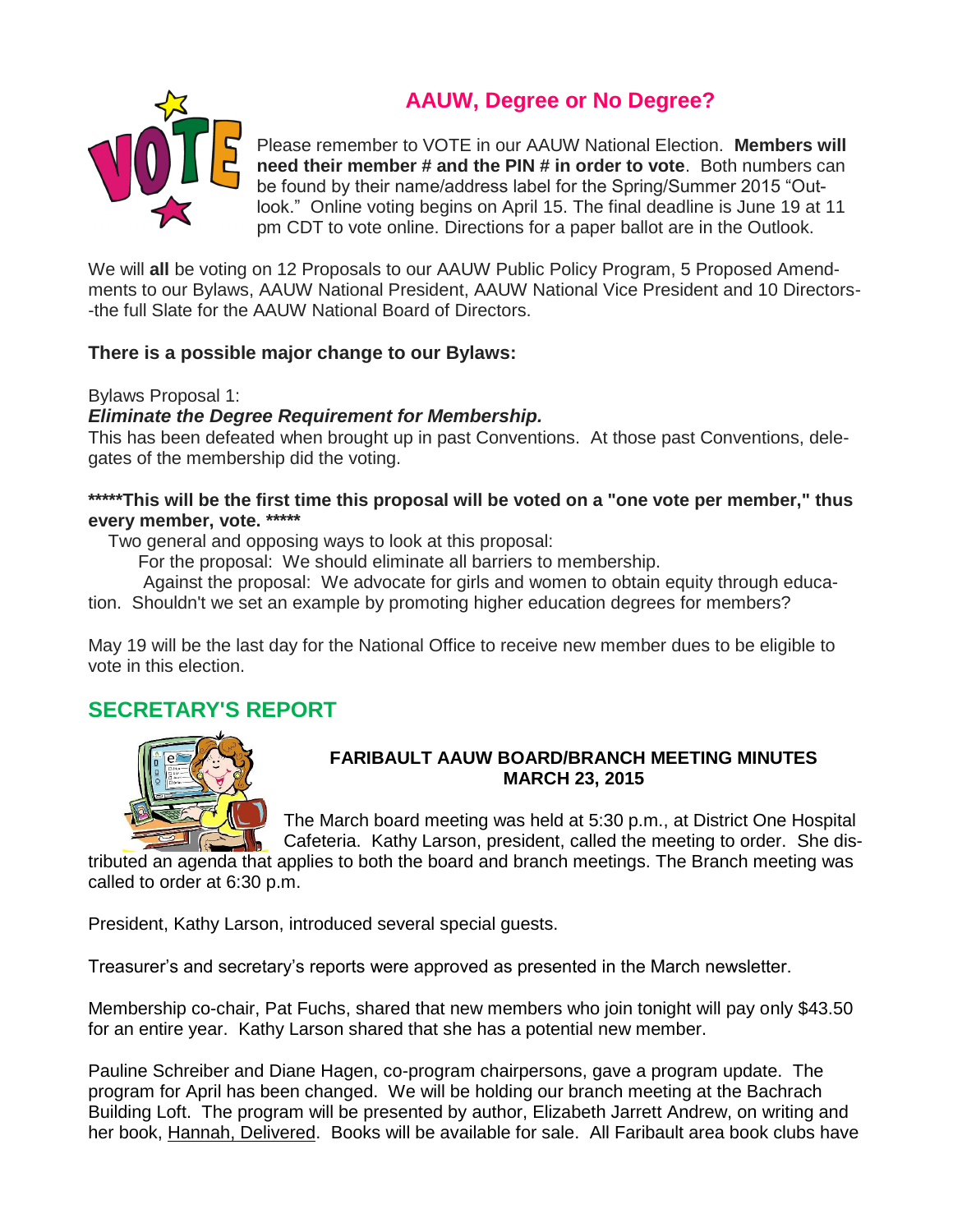**AAUW, Degree or No Degree?**



Please remember to VOTE in our AAUW National Election. **Members will need their member # and the PIN # in order to vote**. Both numbers can be found by their name/address label for the Spring/Summer 2015 "Outlook." Online voting begins on April 15. The final deadline is June 19 at 11 pm CDT to vote online. Directions for a paper ballot are in the Outlook.

We will **all** be voting on 12 Proposals to our AAUW Public Policy Program, 5 Proposed Amendments to our Bylaws, AAUW National President, AAUW National Vice President and 10 Directors- -the full Slate for the AAUW National Board of Directors.

## **There is a possible major change to our Bylaws:**

Bylaws Proposal 1:

## *Eliminate the Degree Requirement for Membership.*

This has been defeated when brought up in past Conventions. At those past Conventions, delegates of the membership did the voting.

## **\*\*\*\*\*This will be the first time this proposal will be voted on a "one vote per member," thus every member, vote. \*\*\*\*\***

Two general and opposing ways to look at this proposal:

For the proposal: We should eliminate all barriers to membership.

Against the proposal: We advocate for girls and women to obtain equity through educa-

tion. Shouldn't we set an example by promoting higher education degrees for members?

May 19 will be the last day for the National Office to receive new member dues to be eligible to vote in this election.

# **SECRETARY'S REPORT**



## **FARIBAULT AAUW BOARD/BRANCH MEETING MINUTES MARCH 23, 2015**

The March board meeting was held at 5:30 p.m., at District One Hospital Cafeteria. Kathy Larson, president, called the meeting to order. She dis-

tributed an agenda that applies to both the board and branch meetings. The Branch meeting was called to order at 6:30 p.m.

President, Kathy Larson, introduced several special guests.

Treasurer's and secretary's reports were approved as presented in the March newsletter.

Membership co-chair, Pat Fuchs, shared that new members who join tonight will pay only \$43.50 for an entire year. Kathy Larson shared that she has a potential new member.

Pauline Schreiber and Diane Hagen, co-program chairpersons, gave a program update. The program for April has been changed. We will be holding our branch meeting at the Bachrach Building Loft. The program will be presented by author, Elizabeth Jarrett Andrew, on writing and her book, Hannah, Delivered. Books will be available for sale. All Faribault area book clubs have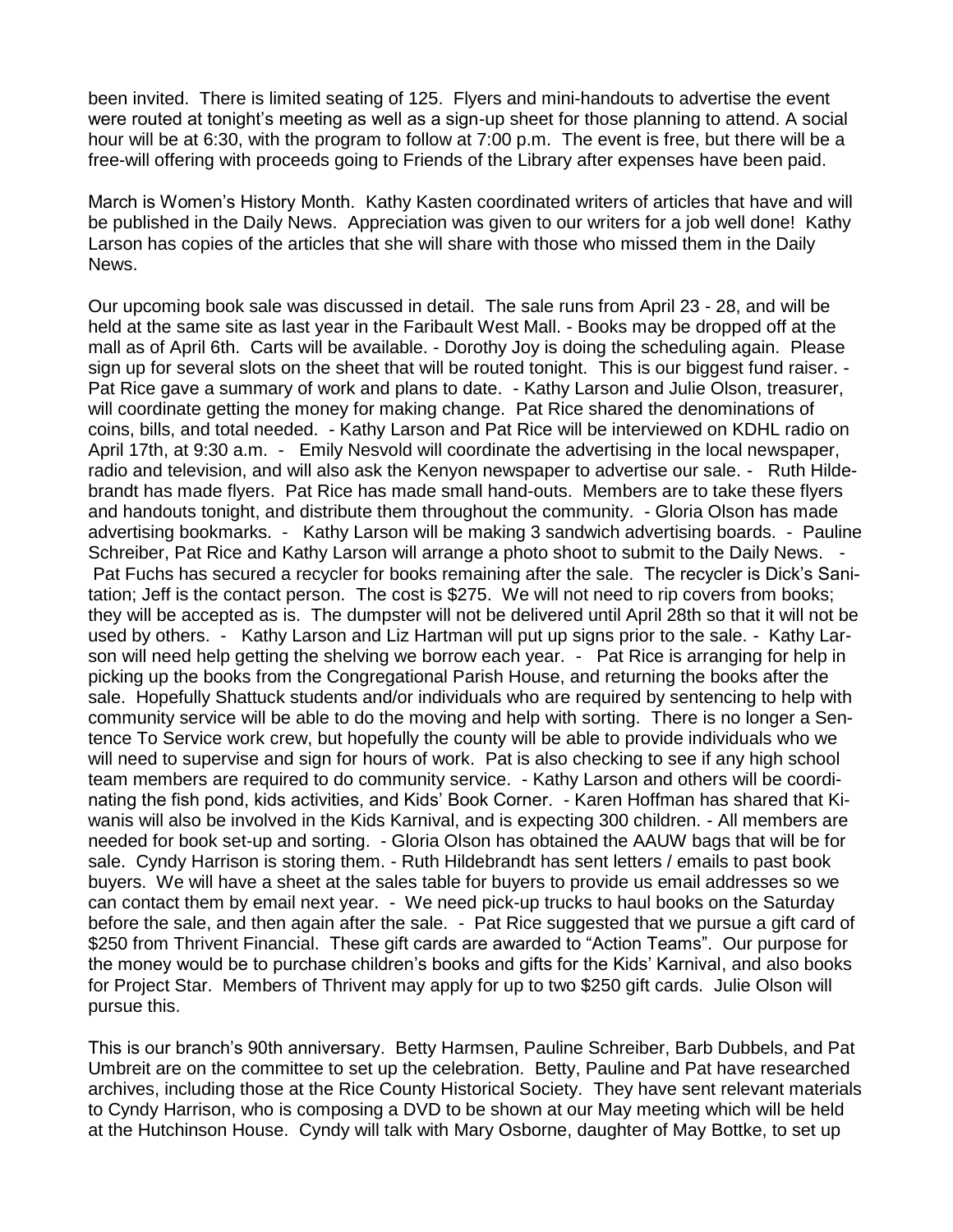been invited. There is limited seating of 125. Flyers and mini-handouts to advertise the event were routed at tonight's meeting as well as a sign-up sheet for those planning to attend. A social hour will be at 6:30, with the program to follow at 7:00 p.m. The event is free, but there will be a free-will offering with proceeds going to Friends of the Library after expenses have been paid.

March is Women's History Month. Kathy Kasten coordinated writers of articles that have and will be published in the Daily News. Appreciation was given to our writers for a job well done! Kathy Larson has copies of the articles that she will share with those who missed them in the Daily News.

Our upcoming book sale was discussed in detail. The sale runs from April 23 - 28, and will be held at the same site as last year in the Faribault West Mall. - Books may be dropped off at the mall as of April 6th. Carts will be available. - Dorothy Joy is doing the scheduling again. Please sign up for several slots on the sheet that will be routed tonight. This is our biggest fund raiser. - Pat Rice gave a summary of work and plans to date. - Kathy Larson and Julie Olson, treasurer, will coordinate getting the money for making change. Pat Rice shared the denominations of coins, bills, and total needed. - Kathy Larson and Pat Rice will be interviewed on KDHL radio on April 17th, at 9:30 a.m. - Emily Nesvold will coordinate the advertising in the local newspaper, radio and television, and will also ask the Kenyon newspaper to advertise our sale. - Ruth Hildebrandt has made flyers. Pat Rice has made small hand-outs. Members are to take these flyers and handouts tonight, and distribute them throughout the community. - Gloria Olson has made advertising bookmarks. - Kathy Larson will be making 3 sandwich advertising boards. - Pauline Schreiber, Pat Rice and Kathy Larson will arrange a photo shoot to submit to the Daily News. -Pat Fuchs has secured a recycler for books remaining after the sale. The recycler is Dick's Sanitation; Jeff is the contact person. The cost is \$275. We will not need to rip covers from books; they will be accepted as is. The dumpster will not be delivered until April 28th so that it will not be used by others. - Kathy Larson and Liz Hartman will put up signs prior to the sale. - Kathy Larson will need help getting the shelving we borrow each year. - Pat Rice is arranging for help in picking up the books from the Congregational Parish House, and returning the books after the sale. Hopefully Shattuck students and/or individuals who are required by sentencing to help with community service will be able to do the moving and help with sorting. There is no longer a Sentence To Service work crew, but hopefully the county will be able to provide individuals who we will need to supervise and sign for hours of work. Pat is also checking to see if any high school team members are required to do community service. - Kathy Larson and others will be coordinating the fish pond, kids activities, and Kids' Book Corner. - Karen Hoffman has shared that Kiwanis will also be involved in the Kids Karnival, and is expecting 300 children. - All members are needed for book set-up and sorting. - Gloria Olson has obtained the AAUW bags that will be for sale. Cyndy Harrison is storing them. - Ruth Hildebrandt has sent letters / emails to past book buyers. We will have a sheet at the sales table for buyers to provide us email addresses so we can contact them by email next year. - We need pick-up trucks to haul books on the Saturday before the sale, and then again after the sale. - Pat Rice suggested that we pursue a gift card of \$250 from Thrivent Financial. These gift cards are awarded to "Action Teams". Our purpose for the money would be to purchase children's books and gifts for the Kids' Karnival, and also books for Project Star. Members of Thrivent may apply for up to two \$250 gift cards. Julie Olson will pursue this.

This is our branch's 90th anniversary. Betty Harmsen, Pauline Schreiber, Barb Dubbels, and Pat Umbreit are on the committee to set up the celebration. Betty, Pauline and Pat have researched archives, including those at the Rice County Historical Society. They have sent relevant materials to Cyndy Harrison, who is composing a DVD to be shown at our May meeting which will be held at the Hutchinson House. Cyndy will talk with Mary Osborne, daughter of May Bottke, to set up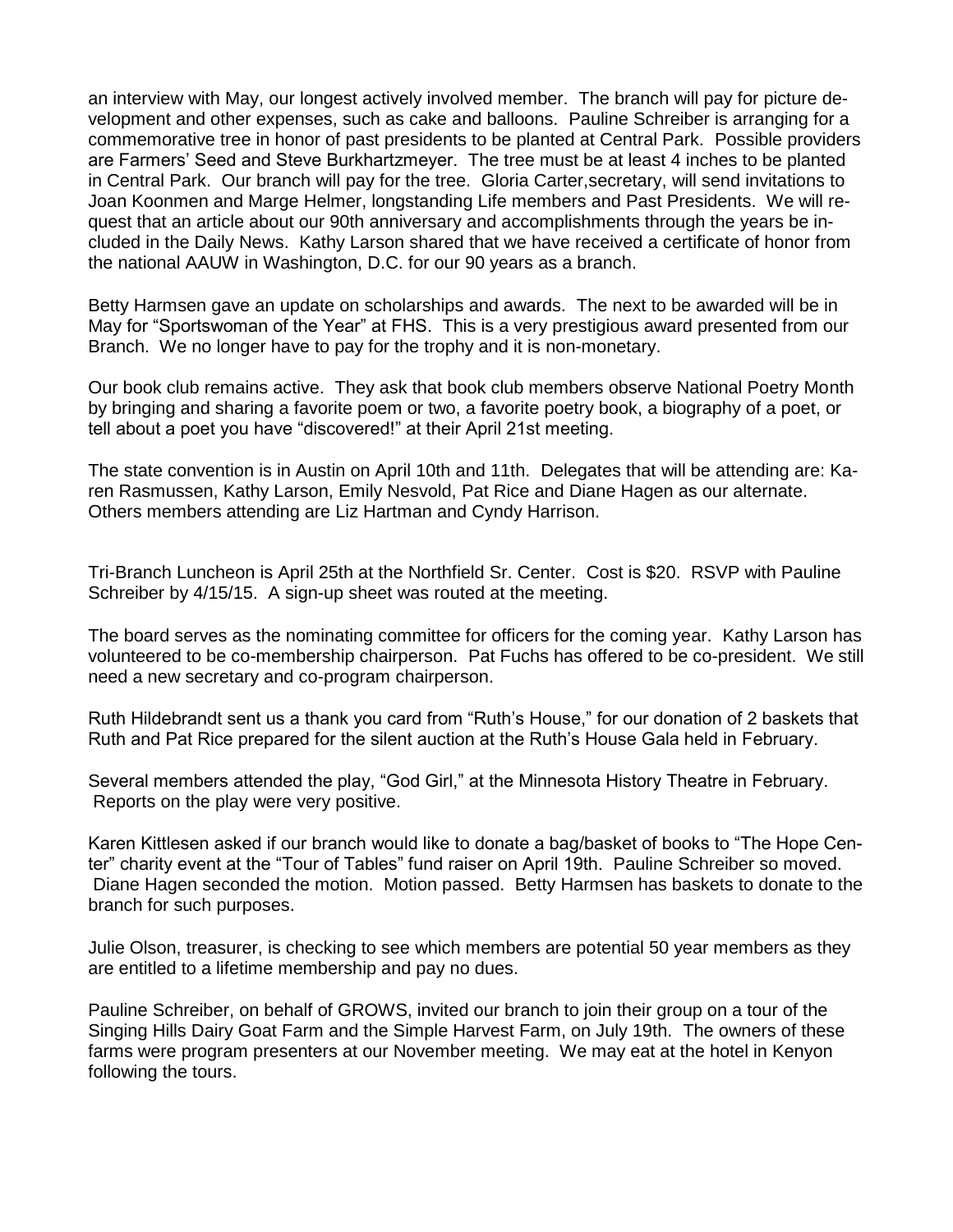an interview with May, our longest actively involved member. The branch will pay for picture development and other expenses, such as cake and balloons. Pauline Schreiber is arranging for a commemorative tree in honor of past presidents to be planted at Central Park. Possible providers are Farmers' Seed and Steve Burkhartzmeyer. The tree must be at least 4 inches to be planted in Central Park. Our branch will pay for the tree. Gloria Carter,secretary, will send invitations to Joan Koonmen and Marge Helmer, longstanding Life members and Past Presidents. We will request that an article about our 90th anniversary and accomplishments through the years be included in the Daily News. Kathy Larson shared that we have received a certificate of honor from the national AAUW in Washington, D.C. for our 90 years as a branch.

Betty Harmsen gave an update on scholarships and awards. The next to be awarded will be in May for "Sportswoman of the Year" at FHS. This is a very prestigious award presented from our Branch. We no longer have to pay for the trophy and it is non-monetary.

Our book club remains active. They ask that book club members observe National Poetry Month by bringing and sharing a favorite poem or two, a favorite poetry book, a biography of a poet, or tell about a poet you have "discovered!" at their April 21st meeting.

The state convention is in Austin on April 10th and 11th. Delegates that will be attending are: Karen Rasmussen, Kathy Larson, Emily Nesvold, Pat Rice and Diane Hagen as our alternate. Others members attending are Liz Hartman and Cyndy Harrison.

Tri-Branch Luncheon is April 25th at the Northfield Sr. Center. Cost is \$20. RSVP with Pauline Schreiber by 4/15/15. A sign-up sheet was routed at the meeting.

The board serves as the nominating committee for officers for the coming year. Kathy Larson has volunteered to be co-membership chairperson. Pat Fuchs has offered to be co-president. We still need a new secretary and co-program chairperson.

Ruth Hildebrandt sent us a thank you card from "Ruth's House," for our donation of 2 baskets that Ruth and Pat Rice prepared for the silent auction at the Ruth's House Gala held in February.

Several members attended the play, "God Girl," at the Minnesota History Theatre in February. Reports on the play were very positive.

Karen Kittlesen asked if our branch would like to donate a bag/basket of books to "The Hope Center" charity event at the "Tour of Tables" fund raiser on April 19th. Pauline Schreiber so moved. Diane Hagen seconded the motion. Motion passed. Betty Harmsen has baskets to donate to the branch for such purposes.

Julie Olson, treasurer, is checking to see which members are potential 50 year members as they are entitled to a lifetime membership and pay no dues.

Pauline Schreiber, on behalf of GROWS, invited our branch to join their group on a tour of the Singing Hills Dairy Goat Farm and the Simple Harvest Farm, on July 19th. The owners of these farms were program presenters at our November meeting. We may eat at the hotel in Kenyon following the tours.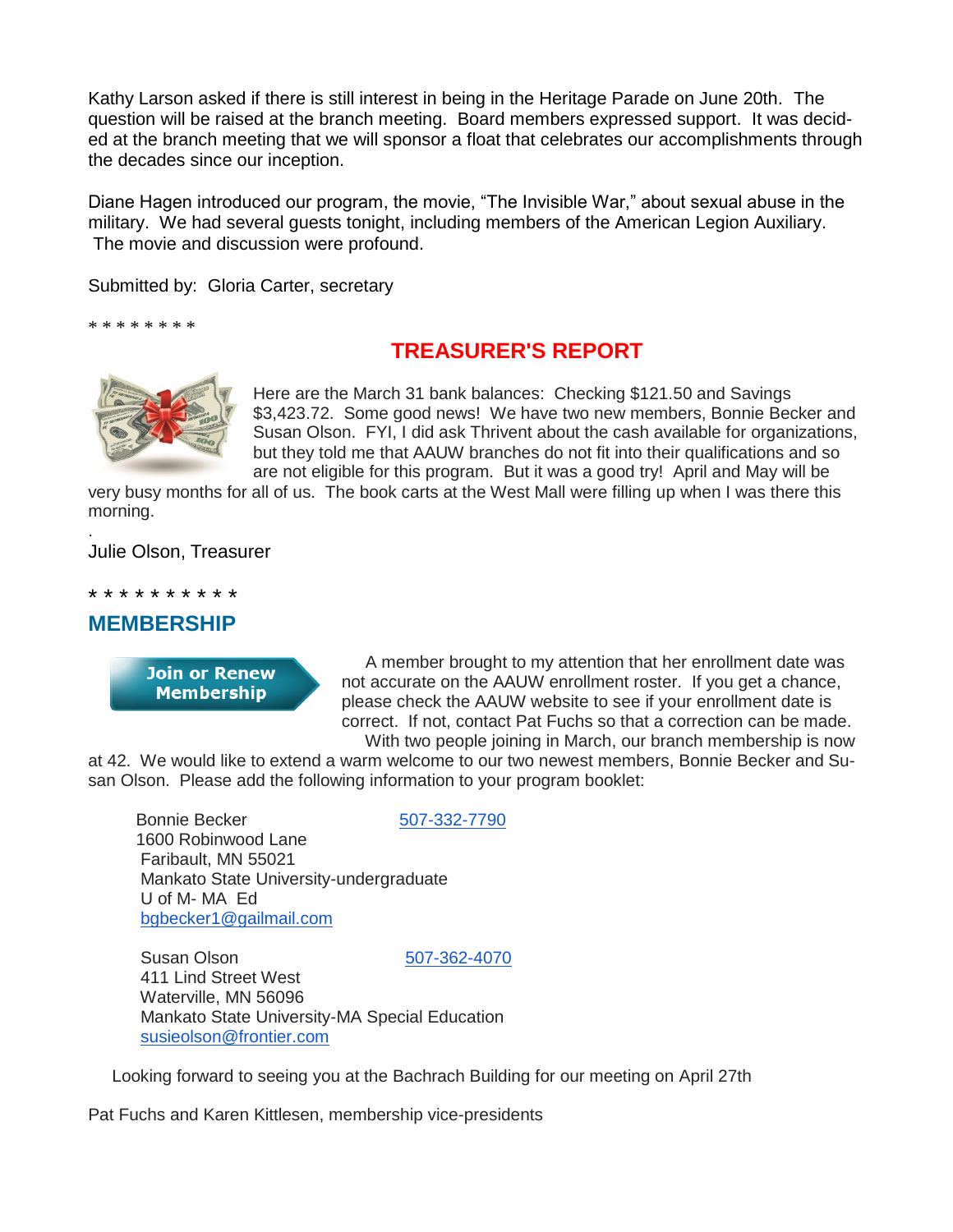Kathy Larson asked if there is still interest in being in the Heritage Parade on June 20th. The question will be raised at the branch meeting. Board members expressed support. It was decided at the branch meeting that we will sponsor a float that celebrates our accomplishments through the decades since our inception.

Diane Hagen introduced our program, the movie, "The Invisible War," about sexual abuse in the military. We had several guests tonight, including members of the American Legion Auxiliary. The movie and discussion were profound.

Submitted by: Gloria Carter, secretary

\* \* \* \* \* \* \* \*

# **TREASURER'S REPORT**



Here are the March 31 bank balances: Checking \$121.50 and Savings \$3,423.72. Some good news! We have two new members, Bonnie Becker and Susan Olson. FYI, I did ask Thrivent about the cash available for organizations, but they told me that AAUW branches do not fit into their qualifications and so are not eligible for this program. But it was a good try! April and May will be

very busy months for all of us. The book carts at the West Mall were filling up when I was there this morning. .

Julie Olson, Treasurer

\* \* \* \* \* \* \* \* \* \*

## **MEMBERSHIP**

**Join or Renew Membership** 

A member brought to my attention that her enrollment date was not accurate on the AAUW enrollment roster. If you get a chance, please check the AAUW website to see if your enrollment date is correct. If not, contact Pat Fuchs so that a correction can be made. With two people joining in March, our branch membership is now

at 42. We would like to extend a warm welcome to our two newest members, Bonnie Becker and Susan Olson. Please add the following information to your program booklet:

Bonnie Becker [507-332-7790](tel:507-332-7790) 1600 Robinwood Lane Faribault, MN 55021 Mankato State University-undergraduate U of M- MA Ed [bgbecker1@gailmail.com](mailto:bgbecker1@gailmail.com)

Susan Olson [507-362-4070](tel:507-362-4070) 411 Lind Street West

Waterville, MN 56096 Mankato State University-MA Special Education [susieolson@frontier.com](mailto:susieolson@frontier.com)

Looking forward to seeing you at the Bachrach Building for our meeting on April 27th

Pat Fuchs and Karen Kittlesen, membership vice-presidents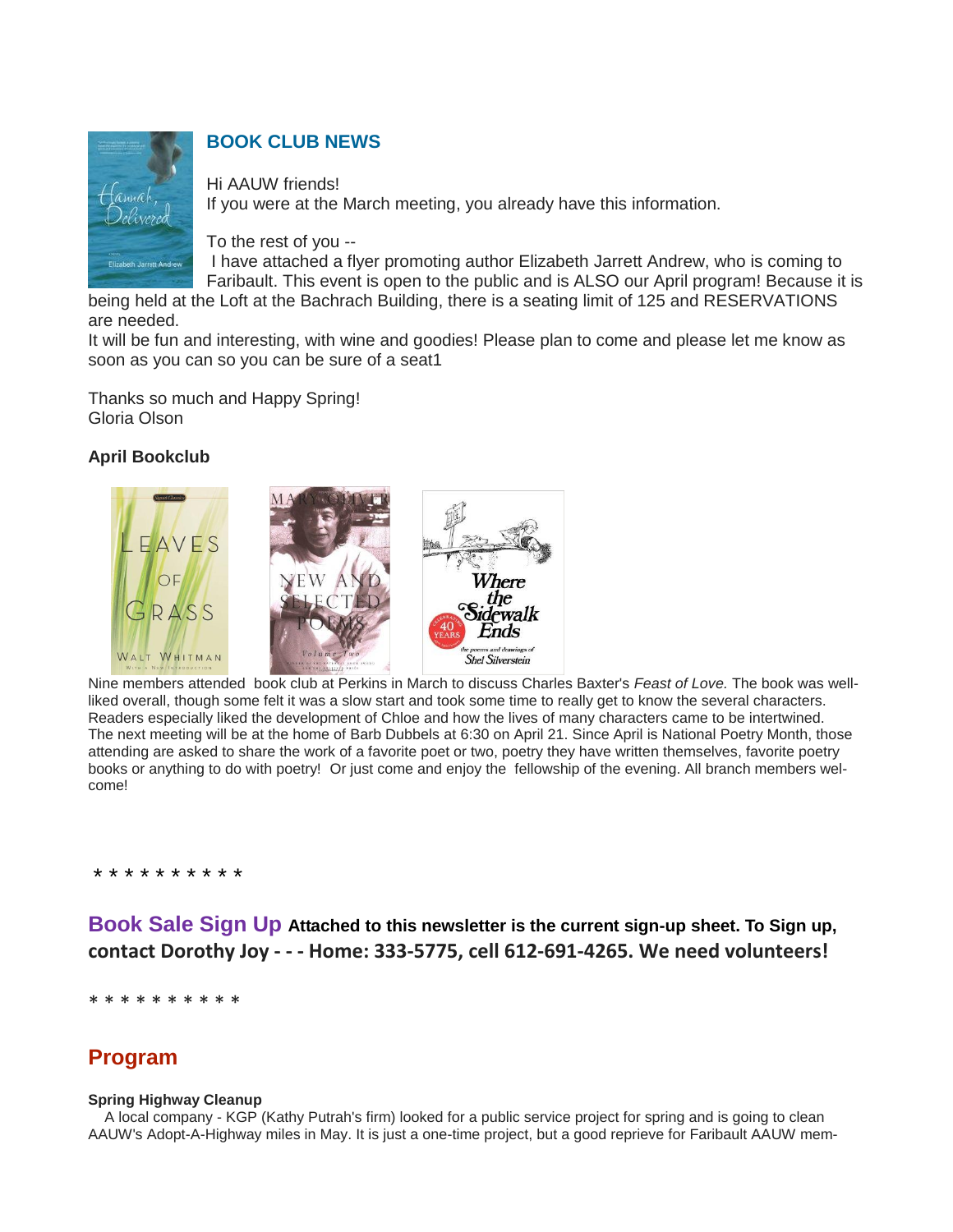

# **BOOK CLUB NEWS**

Hi AAUW friends! If you were at the March meeting, you already have this information.

To the rest of you --

I have attached a flyer promoting author Elizabeth Jarrett Andrew, who is coming to Faribault. This event is open to the public and is ALSO our April program! Because it is

being held at the Loft at the Bachrach Building, there is a seating limit of 125 and RESERVATIONS are needed.

It will be fun and interesting, with wine and goodies! Please plan to come and please let me know as soon as you can so you can be sure of a seat1

Thanks so much and Happy Spring! Gloria Olson

## **April Bookclub**



 $\overline{a}$ Nine members attended book club at Perkins in March to discuss Charles Baxter's *Feast of Love.* The book was wellliked overall, though some felt it was a slow start and took some time to really get to know the several characters. Readers especially liked the development of Chloe and how the lives of many characters came to be intertwined. The next meeting will be at the home of Barb Dubbels at 6:30 on April 21. Since April is National Poetry Month, those attending are asked to share the work of a favorite poet or two, poetry they have written themselves, favorite poetry books or anything to do with poetry! Or just come and enjoy the fellowship of the evening. All branch members welcome!

#### \* \* \* \* \* \* \* \* \* \*

**Book Sale Sign Up Attached to this newsletter is the current sign-up sheet. To Sign up, contact Dorothy Joy - - - Home: 333-5775, cell 612-691-4265. We need volunteers!**

\* \* \* \* \* \* \* \* \*

# **Program**

### **Spring Highway Cleanup**

 A local company - KGP (Kathy Putrah's firm) looked for a public service project for spring and is going to clean AAUW's Adopt-A-Highway miles in May. It is just a one-time project, but a good reprieve for Faribault AAUW mem